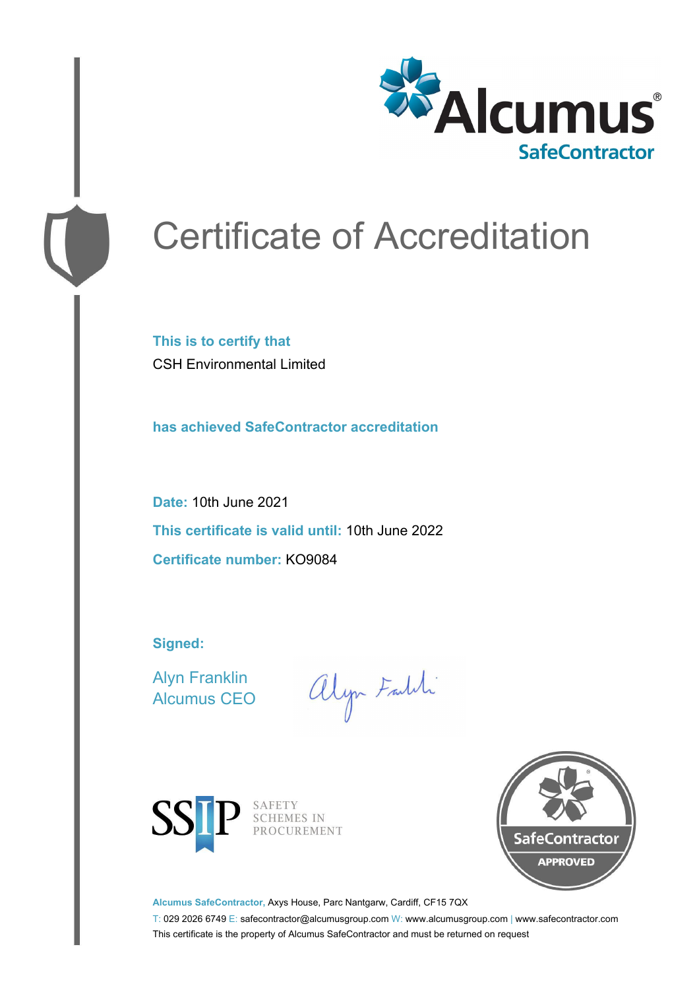

# Certificate of Accreditation

**This is to certify that** CSH Environmental Limited

**has achieved SafeContractor accreditation**

**Date:** 10th June 2021 **This certificate is valid until:** 10th June 2022 **Certificate number:** KO9084

**Signed:**

Alyn Franklin Alcumus CEO

alyn Faith



SAFETY<br>SCHEMES IN PROCUREMENT



**Alcumus SafeContractor,** Axys House, Parc Nantgarw, Cardiff, CF15 7QX

T: 029 2026 6749 E: safecontractor@alcumusgroup.com W: www.alcumusgroup.com | www.safecontractor.com This certificate is the property of Alcumus SafeContractor and must be returned on request